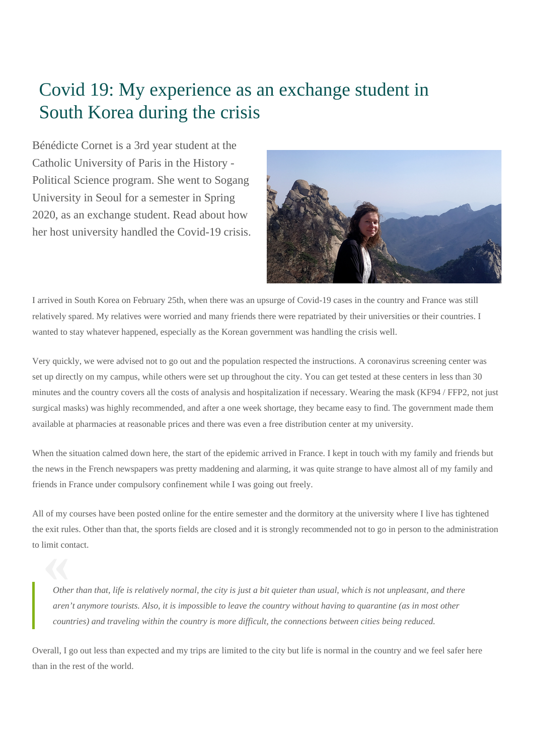## Covid 19: My experience as an exchange student in South Korea during the crisis

Bénédicte Cornet is a 3rd year student at the Catholic University of Paris in the History - Political Science program. She went to Sogang University in Seoul for a semester in Spring 2020, as an exchange student. Read about how her host university handled the Covid-19 crisis.



I arrived in South Korea on February 25th, when there was an upsurge of Covid-19 cases in the country and France was still relatively spared. My relatives were worried and many friends there were repatriated by their universities or their countries. I wanted to stay whatever happened, especially as the Korean government was handling the crisis well.

Very quickly, we were advised not to go out and the population respected the instructions. A coronavirus screening center was set up directly on my campus, while others were set up throughout the city. You can get tested at these centers in less than 30 minutes and the country covers all the costs of analysis and hospitalization if necessary. Wearing the mask (KF94 / FFP2, not just surgical masks) was highly recommended, and after a one week shortage, they became easy to find. The government made them available at pharmacies at reasonable prices and there was even a free distribution center at my university.

When the situation calmed down here, the start of the epidemic arrived in France. I kept in touch with my family and friends but the news in the French newspapers was pretty maddening and alarming, it was quite strange to have almost all of my family and friends in France under compulsory confinement while I was going out freely.

**to limit contact.**<br> **Contact Contact Contact Contact Contact Contact Contact Contact Contact Contact Contact Contact Contact Contact Contact Contact Contact Contact Contact Contact Contact Contact Contact Contact Contact** All of my courses have been posted online for the entire semester and the dormitory at the university where I live has tightened the exit rules. Other than that, the sports fields are closed and it is strongly recommended not to go in person to the administration

*Other than that, life is relatively normal, the city is just a bit quieter than usual, which is not unpleasant, and there aren't anymore tourists. Also, it is impossible to leave the country without having to quarantine (as in most other countries) and traveling within the country is more difficult, the connections between cities being reduced.*

Overall, I go out less than expected and my trips are limited to the city but life is normal in the country and we feel safer here than in the rest of the world.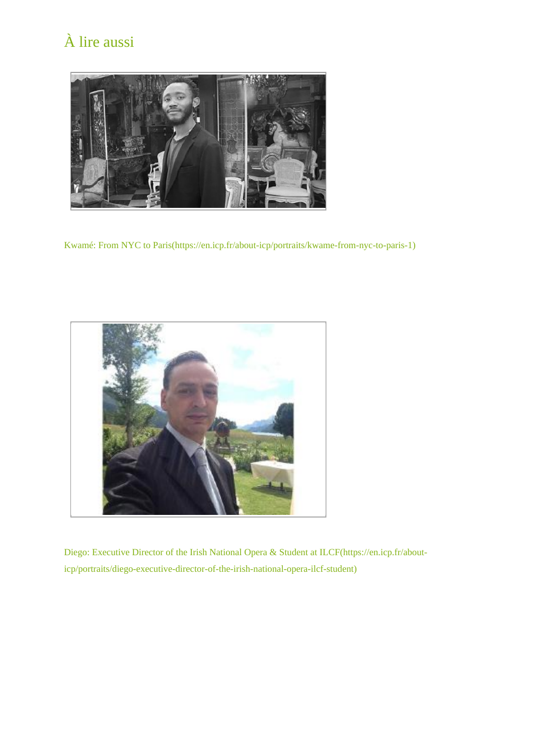## À lire aussi



[Kwamé: From NYC to Paris\(https://en.icp.fr/about-icp/portraits/kwame-from-nyc-to-paris-1\)](https://en.icp.fr/about-icp/portraits/kwame-from-nyc-to-paris-1)



[Diego: Executive Director of the Irish National Opera & Student at ILCF\(https://en.icp.fr/about](https://en.icp.fr/about-icp/portraits/diego-executive-director-of-the-irish-national-opera-ilcf-student)[icp/portraits/diego-executive-director-of-the-irish-national-opera-ilcf-student\)](https://en.icp.fr/about-icp/portraits/diego-executive-director-of-the-irish-national-opera-ilcf-student)